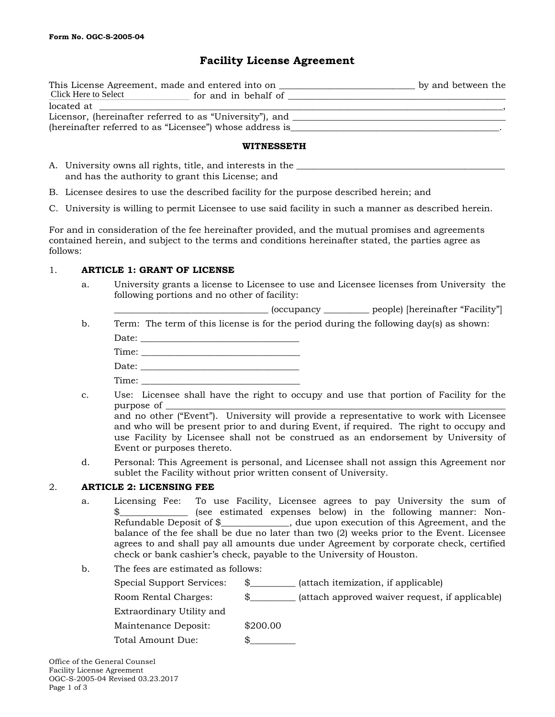# **Facility License Agreement**

| This License Agreement, made and entered into on         |                      | by and between the |  |
|----------------------------------------------------------|----------------------|--------------------|--|
| Click Here to Select                                     | for and in behalf of |                    |  |
| located at                                               |                      |                    |  |
| Licensor, (hereinafter referred to as "University"), and |                      |                    |  |
| (hereinafter referred to as "Licensee") whose address is |                      |                    |  |

#### **WITNESSETH**

| A. University owns all rights, title, and interests in the |
|------------------------------------------------------------|
| and has the authority to grant this License; and           |

- B. Licensee desires to use the described facility for the purpose described herein; and
- C. University is willing to permit Licensee to use said facility in such a manner as described herein.

For and in consideration of the fee hereinafter provided, and the mutual promises and agreements contained herein, and subject to the terms and conditions hereinafter stated, the parties agree as follows:

## 1. **ARTICLE 1: GRANT OF LICENSE**

a. University grants a license to Licensee to use and Licensee licenses from University the following portions and no other of facility:

\_\_\_\_\_\_\_\_\_\_\_\_\_\_\_\_\_\_\_\_\_\_\_\_\_\_\_\_\_\_\_\_\_\_ (occupancy \_\_\_\_\_\_\_\_\_\_ people) [hereinafter "Facility"]

b. Term: The term of this license is for the period during the following day(s) as shown: Date: \_\_\_\_\_\_\_\_\_\_\_\_\_\_\_\_\_\_\_\_\_\_\_\_\_\_\_\_\_\_\_\_\_\_\_

| Dace. |  |  |  |
|-------|--|--|--|
|       |  |  |  |
| ∽     |  |  |  |

- Date:
- Time: \_\_\_\_\_\_\_\_\_\_\_\_\_\_\_\_\_\_\_\_\_\_\_\_\_\_\_\_\_\_\_\_\_\_\_ c. Use: Licensee shall have the right to occupy and use that portion of Facility for the purpose of

and no other ("Event"). University will provide a representative to work with Licensee and who will be present prior to and during Event, if required. The right to occupy and use Facility by Licensee shall not be construed as an endorsement by University of Event or purposes thereto.

d. Personal: This Agreement is personal, and Licensee shall not assign this Agreement nor sublet the Facility without prior written consent of University.

# 2. **ARTICLE 2: LICENSING FEE**

- a. Licensing Fee: To use Facility, Licensee agrees to pay University the sum of \$\_\_\_\_\_\_\_\_\_\_\_\_\_\_\_\_\_ (see estimated expenses below) in the following manner: Non-Refundable Deposit of \$\_\_\_\_\_\_\_\_\_\_\_\_\_\_\_, due upon execution of this Agreement, and the balance of the fee shall be due no later than two (2) weeks prior to the Event. Licensee agrees to and shall pay all amounts due under Agreement by corporate check, certified check or bank cashier's check, payable to the University of Houston.
- b. The fees are estimated as follows:

| Special Support Services: | (attach itemization, if applicable)             |
|---------------------------|-------------------------------------------------|
| Room Rental Charges:      | (attach approved waiver request, if applicable) |
| Extraordinary Utility and |                                                 |
| Maintenance Deposit:      | \$200.00                                        |
| Total Amount Due:         |                                                 |
|                           |                                                 |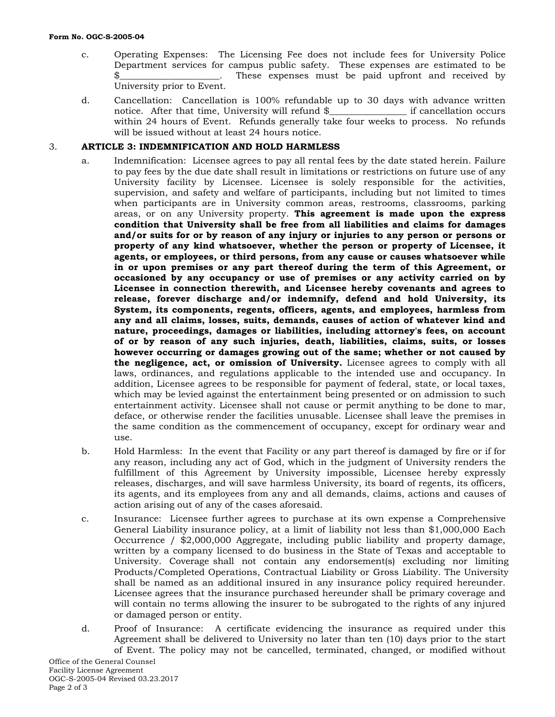- c. Operating Expenses: The Licensing Fee does not include fees for University Police Department services for campus public safety. These expenses are estimated to be \$\_\_\_\_\_\_\_\_\_\_\_\_\_\_\_\_\_\_\_\_\_\_. These expenses must be paid upfront and received by University prior to Event.
- d. Cancellation: Cancellation is 100% refundable up to 30 days with advance written notice. After that time, University will refund \$ if cancellation occurs notice. After that time, University will refund  $\frac{1}{2}$ within 24 hours of Event. Refunds generally take four weeks to process. No refunds will be issued without at least 24 hours notice.

## 3. **ARTICLE 3: INDEMNIFICATION AND HOLD HARMLESS**

- a. Indemnification: Licensee agrees to pay all rental fees by the date stated herein. Failure to pay fees by the due date shall result in limitations or restrictions on future use of any University facility by Licensee. Licensee is solely responsible for the activities, supervision, and safety and welfare of participants, including but not limited to times when participants are in University common areas, restrooms, classrooms, parking areas, or on any University property. **This agreement is made upon the express condition that University shall be free from all liabilities and claims for damages and/or suits for or by reason of any injury or injuries to any person or persons or property of any kind whatsoever, whether the person or property of Licensee, it agents, or employees, or third persons, from any cause or causes whatsoever while in or upon premises or any part thereof during the term of this Agreement, or occasioned by any occupancy or use of premises or any activity carried on by Licensee in connection therewith, and Licensee hereby covenants and agrees to release, forever discharge and/or indemnify, defend and hold University, its System, its components, regents, officers, agents, and employees, harmless from any and all claims, losses, suits, demands, causes of action of whatever kind and nature, proceedings, damages or liabilities, including attorney's fees, on account of or by reason of any such injuries, death, liabilities, claims, suits, or losses however occurring or damages growing out of the same; whether or not caused by the negligence, act, or omission of University.** Licensee agrees to comply with all laws, ordinances, and regulations applicable to the intended use and occupancy. In addition, Licensee agrees to be responsible for payment of federal, state, or local taxes, which may be levied against the entertainment being presented or on admission to such entertainment activity. Licensee shall not cause or permit anything to be done to mar, deface, or otherwise render the facilities unusable. Licensee shall leave the premises in the same condition as the commencement of occupancy, except for ordinary wear and use.
- b. Hold Harmless: In the event that Facility or any part thereof is damaged by fire or if for any reason, including any act of God, which in the judgment of University renders the fulfillment of this Agreement by University impossible, Licensee hereby expressly releases, discharges, and will save harmless University, its board of regents, its officers, its agents, and its employees from any and all demands, claims, actions and causes of action arising out of any of the cases aforesaid.
- c. Insurance: Licensee further agrees to purchase at its own expense a Comprehensive General Liability insurance policy, at a limit of liability not less than \$1,000,000 Each Occurrence / \$2,000,000 Aggregate, including public liability and property damage, written by a company licensed to do business in the State of Texas and acceptable to University. Coverage shall not contain any endorsement(s) excluding nor limiting Products/Completed Operations, Contractual Liability or Gross Liability. The University shall be named as an additional insured in any insurance policy required hereunder. Licensee agrees that the insurance purchased hereunder shall be primary coverage and will contain no terms allowing the insurer to be subrogated to the rights of any injured or damaged person or entity.
- d. Proof of Insurance: A certificate evidencing the insurance as required under this Agreement shall be delivered to University no later than ten (10) days prior to the start of Event. The policy may not be cancelled, terminated, changed, or modified without